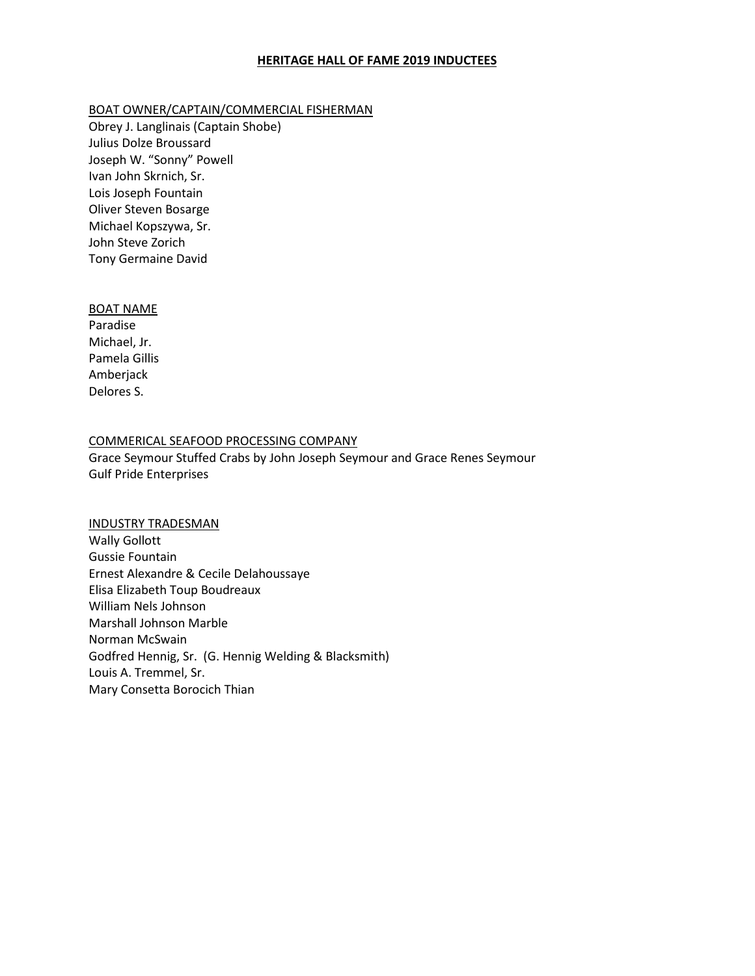# **HERITAGE HALL OF FAME 2019 INDUCTEES**

## BOAT OWNER/CAPTAIN/COMMERCIAL FISHERMAN

Obrey J. Langlinais (Captain Shobe) Julius Dolze Broussard Joseph W. "Sonny" Powell Ivan John Skrnich, Sr. Lois Joseph Fountain Oliver Steven Bosarge Michael Kopszywa, Sr. John Steve Zorich Tony Germaine David

#### BOAT NAME

Paradise Michael, Jr. Pamela Gillis Amberjack Delores S.

### COMMERICAL SEAFOOD PROCESSING COMPANY

Grace Seymour Stuffed Crabs by John Joseph Seymour and Grace Renes Seymour Gulf Pride Enterprises

#### INDUSTRY TRADESMAN

Wally Gollott Gussie Fountain Ernest Alexandre & Cecile Delahoussaye Elisa Elizabeth Toup Boudreaux William Nels Johnson Marshall Johnson Marble Norman McSwain Godfred Hennig, Sr. (G. Hennig Welding & Blacksmith) Louis A. Tremmel, Sr. Mary Consetta Borocich Thian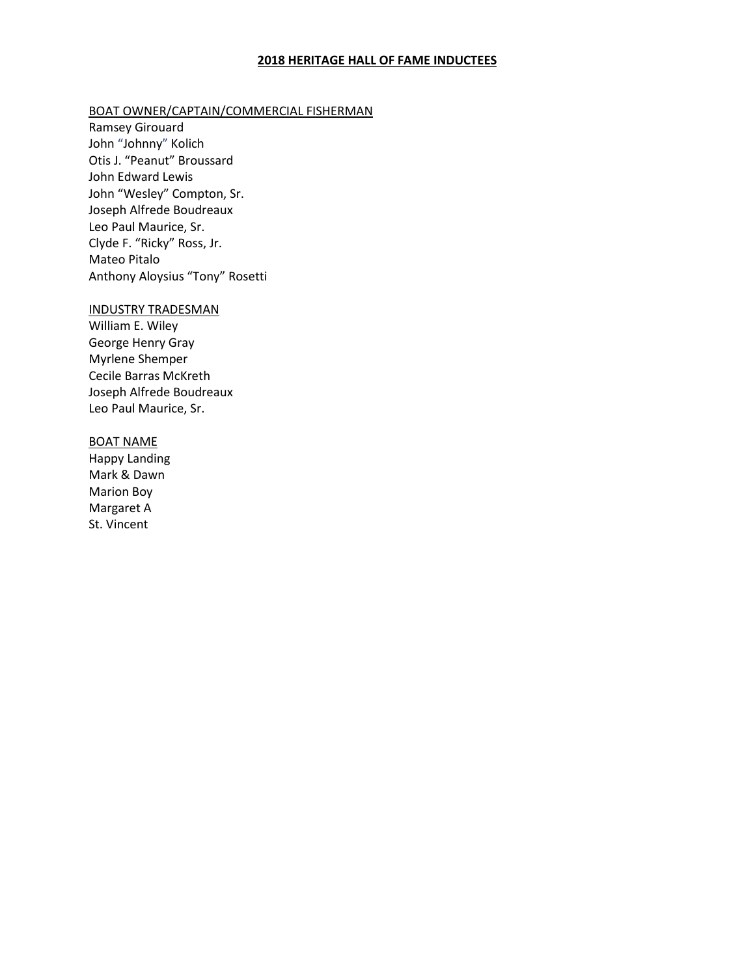# **2018 HERITAGE HALL OF FAME INDUCTEES**

#### BOAT OWNER/CAPTAIN/COMMERCIAL FISHERMAN

Ramsey Girouard John "Johnny" Kolich Otis J. "Peanut" Broussard John Edward Lewis John "Wesley" Compton, Sr. Joseph Alfrede Boudreaux Leo Paul Maurice, Sr. Clyde F. "Ricky" Ross, Jr. Mateo Pitalo Anthony Aloysius "Tony" Rosetti

### INDUSTRY TRADESMAN

William E. Wiley George Henry Gray Myrlene Shemper Cecile Barras McKreth Joseph Alfrede Boudreaux Leo Paul Maurice, Sr.

#### BOAT NAME

Happy Landing Mark & Dawn Marion Boy Margaret A St. Vincent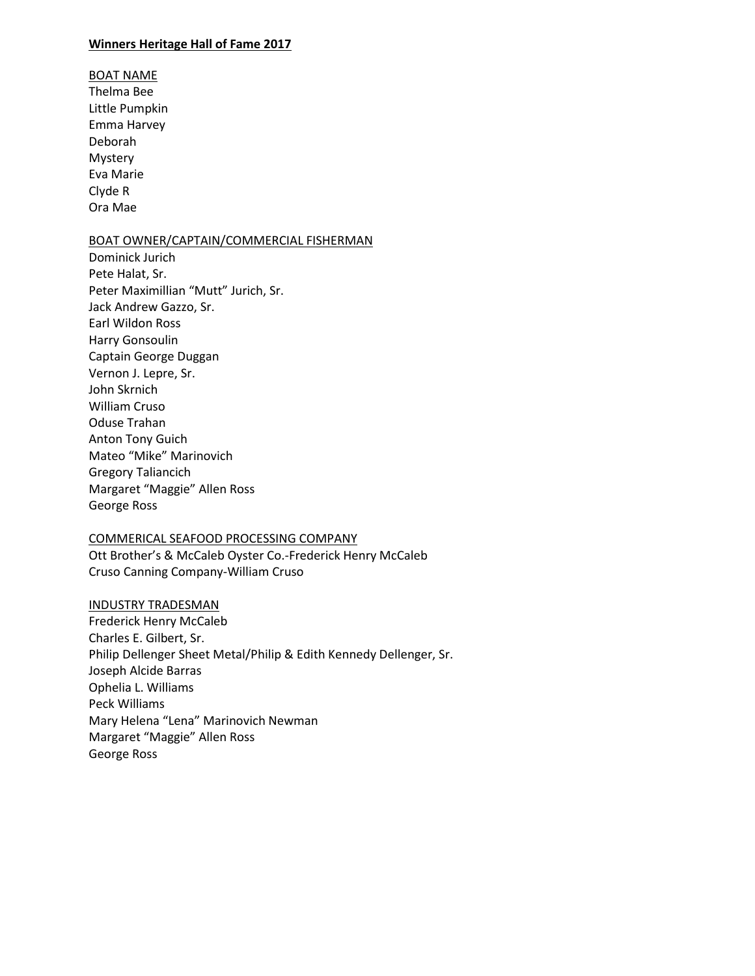## **Winners Heritage Hall of Fame 2017**

BOAT NAME Thelma Bee Little Pumpkin Emma Harvey Deborah Mystery Eva Marie Clyde R Ora Mae

# BOAT OWNER/CAPTAIN/COMMERCIAL FISHERMAN

Dominick Jurich Pete Halat, Sr. Peter Maximillian "Mutt" Jurich, Sr. Jack Andrew Gazzo, Sr. Earl Wildon Ross Harry Gonsoulin Captain George Duggan Vernon J. Lepre, Sr. John Skrnich William Cruso Oduse Trahan Anton Tony Guich Mateo "Mike" Marinovich Gregory Taliancich Margaret "Maggie" Allen Ross George Ross

## COMMERICAL SEAFOOD PROCESSING COMPANY

Ott Brother's & McCaleb Oyster Co.-Frederick Henry McCaleb Cruso Canning Company-William Cruso

## INDUSTRY TRADESMAN

Frederick Henry McCaleb Charles E. Gilbert, Sr. Philip Dellenger Sheet Metal/Philip & Edith Kennedy Dellenger, Sr. Joseph Alcide Barras Ophelia L. Williams Peck Williams Mary Helena "Lena" Marinovich Newman Margaret "Maggie" Allen Ross George Ross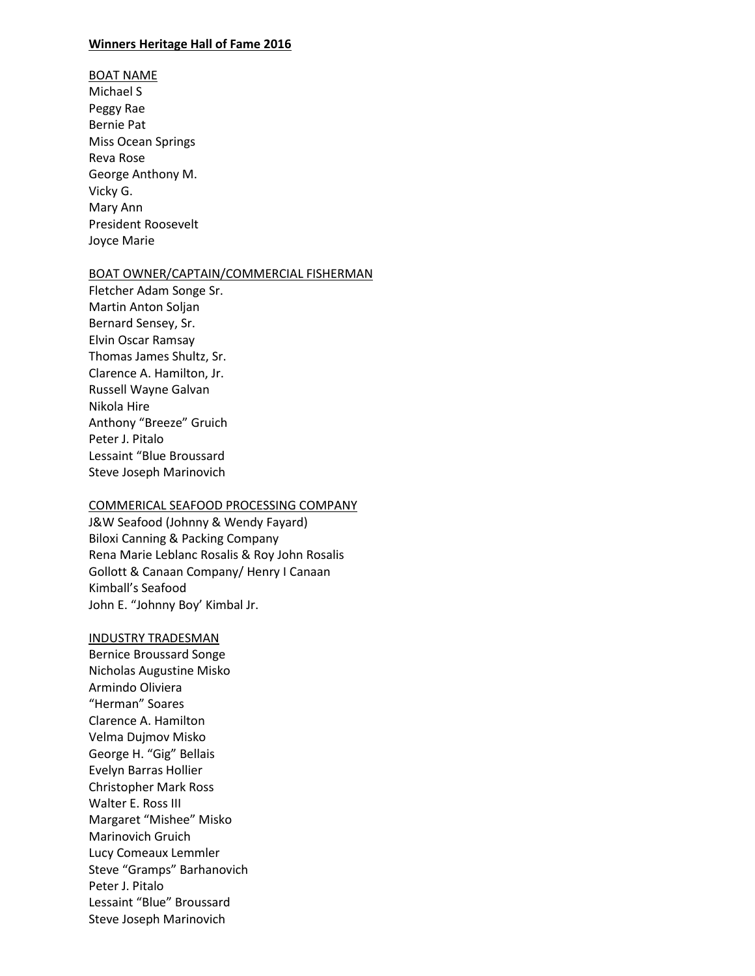## **Winners Heritage Hall of Fame 2016**

# BOAT NAME Michael S Peggy Rae Bernie Pat Miss Ocean Springs Reva Rose George Anthony M. Vicky G. Mary Ann President Roosevelt Joyce Marie

### BOAT OWNER/CAPTAIN/COMMERCIAL FISHERMAN

Fletcher Adam Songe Sr. Martin Anton Soljan Bernard Sensey, Sr. Elvin Oscar Ramsay Thomas James Shultz, Sr. Clarence A. Hamilton, Jr. Russell Wayne Galvan Nikola Hire Anthony "Breeze" Gruich Peter J. Pitalo Lessaint "Blue Broussard Steve Joseph Marinovich

## COMMERICAL SEAFOOD PROCESSING COMPANY

J&W Seafood (Johnny & Wendy Fayard) Biloxi Canning & Packing Company Rena Marie Leblanc Rosalis & Roy John Rosalis Gollott & Canaan Company/ Henry I Canaan Kimball's Seafood John E. "Johnny Boy' Kimbal Jr.

#### INDUSTRY TRADESMAN

Bernice Broussard Songe Nicholas Augustine Misko Armindo Oliviera "Herman" Soares Clarence A. Hamilton Velma Dujmov Misko George H. "Gig" Bellais Evelyn Barras Hollier Christopher Mark Ross Walter E. Ross III Margaret "Mishee" Misko Marinovich Gruich Lucy Comeaux Lemmler Steve "Gramps" Barhanovich Peter J. Pitalo Lessaint "Blue" Broussard Steve Joseph Marinovich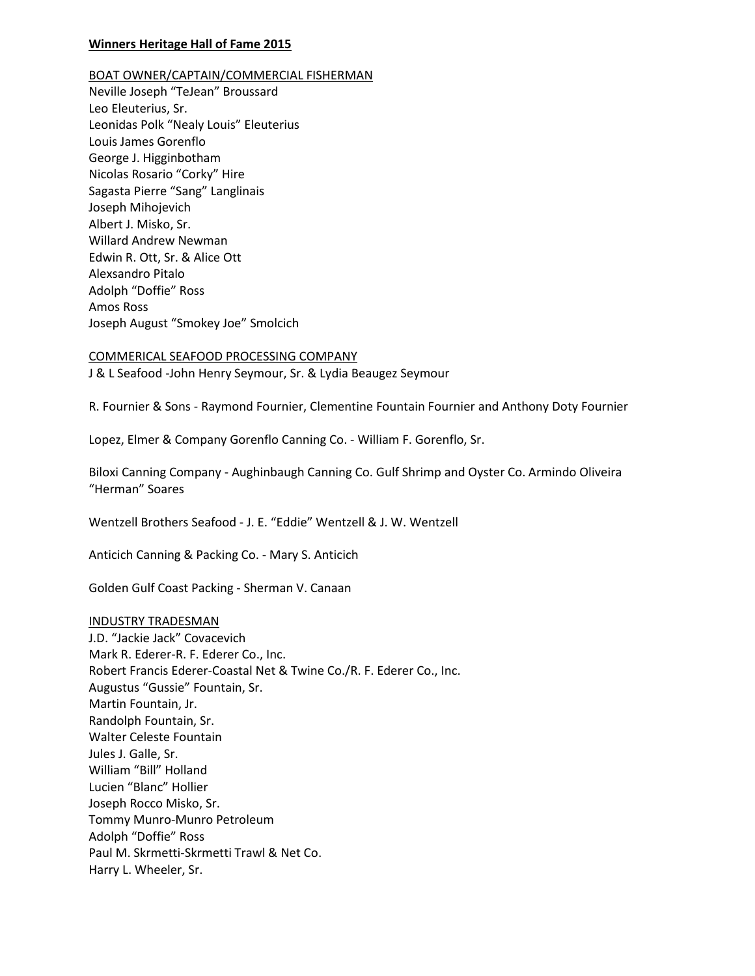## **Winners Heritage Hall of Fame 2015**

BOAT OWNER/CAPTAIN/COMMERCIAL FISHERMAN

Neville Joseph "TeJean" Broussard Leo Eleuterius, Sr. Leonidas Polk "Nealy Louis" Eleuterius Louis James Gorenflo George J. Higginbotham Nicolas Rosario "Corky" Hire Sagasta Pierre "Sang" Langlinais Joseph Mihojevich Albert J. Misko, Sr. Willard Andrew Newman Edwin R. Ott, Sr. & Alice Ott Alexsandro Pitalo Adolph "Doffie" Ross Amos Ross Joseph August "Smokey Joe" Smolcich

COMMERICAL SEAFOOD PROCESSING COMPANY J & L Seafood -John Henry Seymour, Sr. & Lydia Beaugez Seymour

R. Fournier & Sons - Raymond Fournier, Clementine Fountain Fournier and Anthony Doty Fournier

Lopez, Elmer & Company Gorenflo Canning Co. - William F. Gorenflo, Sr.

Biloxi Canning Company - Aughinbaugh Canning Co. Gulf Shrimp and Oyster Co. Armindo Oliveira "Herman" Soares

Wentzell Brothers Seafood - J. E. "Eddie" Wentzell & J. W. Wentzell

Anticich Canning & Packing Co. - Mary S. Anticich

Golden Gulf Coast Packing - Sherman V. Canaan

#### INDUSTRY TRADESMAN

J.D. "Jackie Jack" Covacevich Mark R. Ederer-R. F. Ederer Co., Inc. Robert Francis Ederer-Coastal Net & Twine Co./R. F. Ederer Co., Inc. Augustus "Gussie" Fountain, Sr. Martin Fountain, Jr. Randolph Fountain, Sr. Walter Celeste Fountain Jules J. Galle, Sr. William "Bill" Holland Lucien "Blanc" Hollier Joseph Rocco Misko, Sr. Tommy Munro-Munro Petroleum Adolph "Doffie" Ross Paul M. Skrmetti-Skrmetti Trawl & Net Co. Harry L. Wheeler, Sr.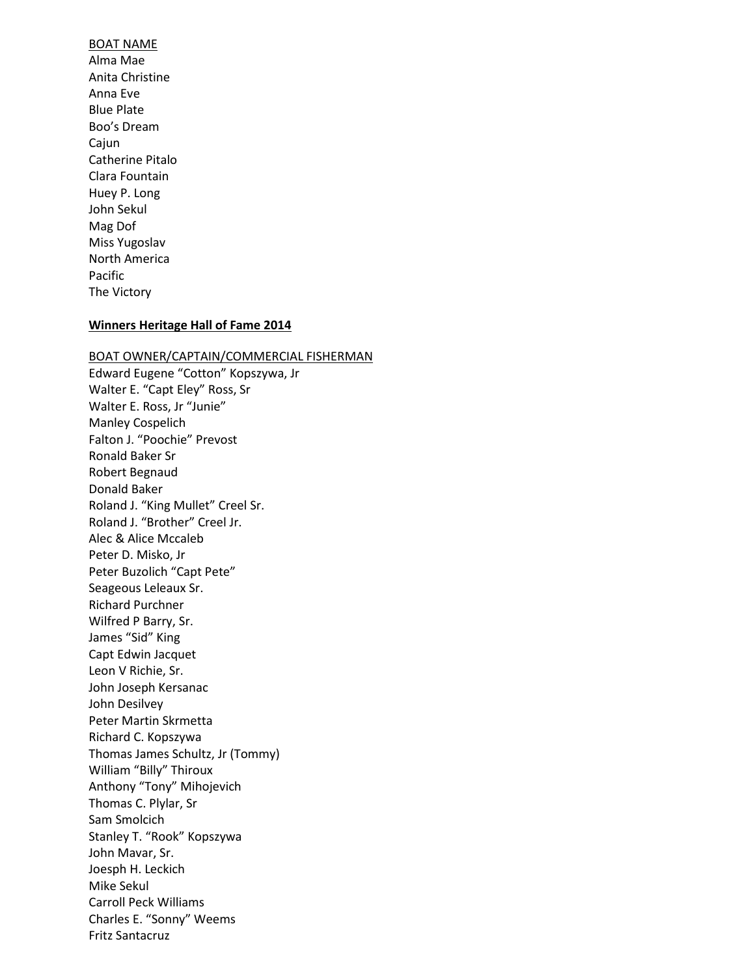# BOAT NAME Alma Mae Anita Christine Anna Eve Blue Plate Boo's Dream Cajun Catherine Pitalo Clara Fountain Huey P. Long John Sekul Mag Dof Miss Yugoslav North America Pacific The Victory

### **Winners Heritage Hall of Fame 2014**

## BOAT OWNER/CAPTAIN/COMMERCIAL FISHERMAN

Edward Eugene "Cotton" Kopszywa, Jr Walter E. "Capt Eley" Ross, Sr Walter E. Ross, Jr "Junie" Manley Cospelich Falton J. "Poochie" Prevost Ronald Baker Sr Robert Begnaud Donald Baker Roland J. "King Mullet" Creel Sr. Roland J. "Brother" Creel Jr. Alec & Alice Mccaleb Peter D. Misko, Jr Peter Buzolich "Capt Pete" Seageous Leleaux Sr. Richard Purchner Wilfred P Barry, Sr. James "Sid" King Capt Edwin Jacquet Leon V Richie, Sr. John Joseph Kersanac John Desilvey Peter Martin Skrmetta Richard C. Kopszywa Thomas James Schultz, Jr (Tommy) William "Billy" Thiroux Anthony "Tony" Mihojevich Thomas C. Plylar, Sr Sam Smolcich Stanley T. "Rook" Kopszywa John Mavar, Sr. Joesph H. Leckich Mike Sekul Carroll Peck Williams Charles E. "Sonny" Weems Fritz Santacruz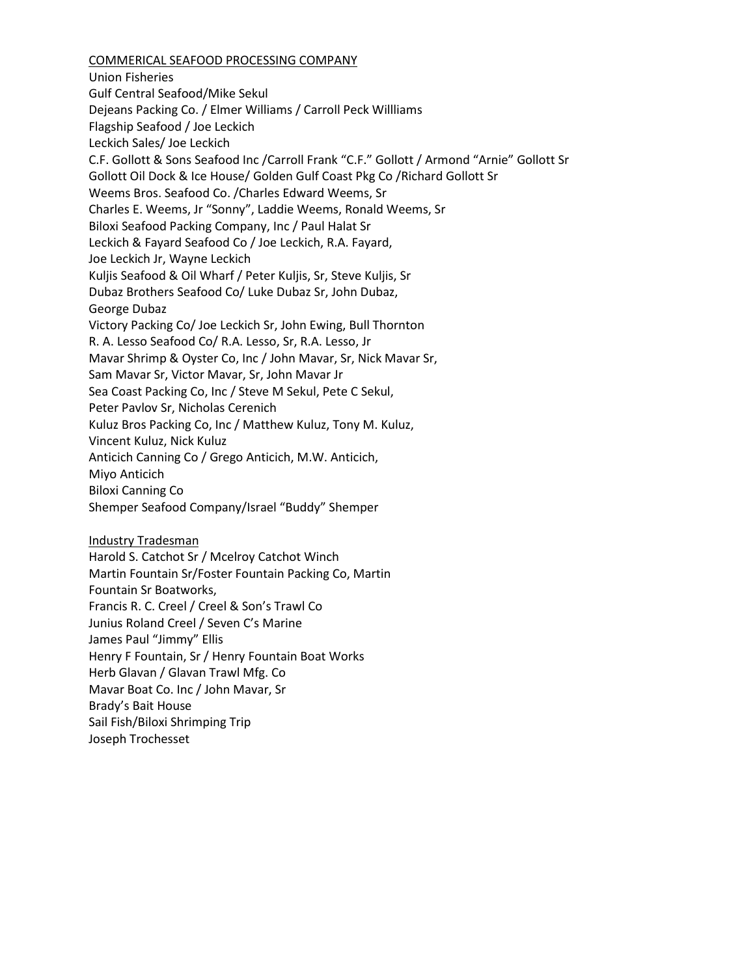# COMMERICAL SEAFOOD PROCESSING COMPANY

Union Fisheries Gulf Central Seafood/Mike Sekul Dejeans Packing Co. / Elmer Williams / Carroll Peck Willliams Flagship Seafood / Joe Leckich Leckich Sales/ Joe Leckich C.F. Gollott & Sons Seafood Inc /Carroll Frank "C.F." Gollott / Armond "Arnie" Gollott Sr Gollott Oil Dock & Ice House/ Golden Gulf Coast Pkg Co /Richard Gollott Sr Weems Bros. Seafood Co. /Charles Edward Weems, Sr Charles E. Weems, Jr "Sonny", Laddie Weems, Ronald Weems, Sr Biloxi Seafood Packing Company, Inc / Paul Halat Sr Leckich & Fayard Seafood Co / Joe Leckich, R.A. Fayard, Joe Leckich Jr, Wayne Leckich Kuljis Seafood & Oil Wharf / Peter Kuljis, Sr, Steve Kuljis, Sr Dubaz Brothers Seafood Co/ Luke Dubaz Sr, John Dubaz, George Dubaz Victory Packing Co/ Joe Leckich Sr, John Ewing, Bull Thornton R. A. Lesso Seafood Co/ R.A. Lesso, Sr, R.A. Lesso, Jr Mavar Shrimp & Oyster Co, Inc / John Mavar, Sr, Nick Mavar Sr, Sam Mavar Sr, Victor Mavar, Sr, John Mavar Jr Sea Coast Packing Co, Inc / Steve M Sekul, Pete C Sekul, Peter Pavlov Sr, Nicholas Cerenich Kuluz Bros Packing Co, Inc / Matthew Kuluz, Tony M. Kuluz, Vincent Kuluz, Nick Kuluz Anticich Canning Co / Grego Anticich, M.W. Anticich, Miyo Anticich Biloxi Canning Co Shemper Seafood Company/Israel "Buddy" Shemper Industry Tradesman Harold S. Catchot Sr / Mcelroy Catchot Winch Martin Fountain Sr/Foster Fountain Packing Co, Martin Fountain Sr Boatworks, Francis R. C. Creel / Creel & Son's Trawl Co Junius Roland Creel / Seven C's Marine James Paul "Jimmy" Ellis Henry F Fountain, Sr / Henry Fountain Boat Works Herb Glavan / Glavan Trawl Mfg. Co Mavar Boat Co. Inc / John Mavar, Sr Brady's Bait House

Sail Fish/Biloxi Shrimping Trip

Joseph Trochesset